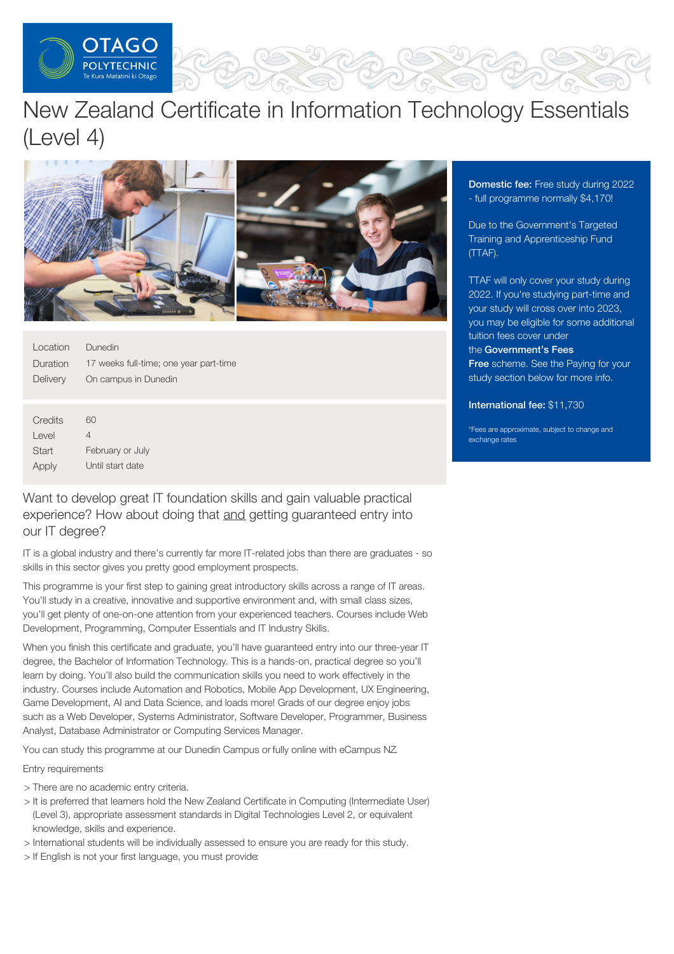

# New Zealand Certificate in Information Technology Essentials (Level 4)



| Location | Dunedin                                |
|----------|----------------------------------------|
| Duration | 17 weeks full-time; one year part-time |
| Delivery | On campus in Dunedin                   |

| Credits | 60               |
|---------|------------------|
| Level   | 4                |
| Start   | February or July |
| Apply   | Until start date |

# Want to develop great IT foundation skills and gain valuable practical experience? How about doing that and getting guaranteed entry into our IT degree?

IT is a global industry and there's currently far more IT-related jobs than there are graduates - so skills in this sector gives you pretty good employment prospects.

This programme is your first step to gaining great introductory skills across a range of IT areas. You'll study in a creative, innovative and supportive environment and, with small class sizes, you'll get plenty of one-on-one attention from your experienced teachers. Courses include Web Development, Programming, Computer Essentials and IT Industry Skills.

When you finish this certificate and graduate, you'll have guaranteed entry into our three-year IT degree, the Bachelor of Information Technology. This is a hands-on, practical degree so you'll learn by doing. You'll also build the communication skills you need to work effectively in the industry. Courses include Automation and Robotics, Mobile App Development, UX Engineering, Game Development, AI and Data Science, and loads more! Grads of our degree enjoy jobs such as a Web Developer, Systems Administrator, Software Developer, Programmer, Business Analyst, Database Administrator or Computing Services Manager.

You can study this programme at our Dunedin Campus or fully online with eCampus NZ.

# Entry requirements

- > There are no academic entry criteria.
- > It is preferred that learners hold the New Zealand Certificate in Computing (Intermediate User) (Level 3), appropriate assessment standards in Digital Technologies Level 2, or equivalent knowledge, skills and experience.
- > International students will be individually assessed to ensure you are ready for this study.
- > If English is not your first language, you must provide:

**Domestic fee: Free study during 2022** - full programme normally \$4,170!

Due to the Government's Targeted Training and Apprenticeship Fund (TTAF).

TTAF will only cover your study during 2022. If you're studying part-time and your study will cross over into 2023, you may be eligible for some additional tuition fees cover under the [Government's](https://www.feesfree.govt.nz/) Fees Free scheme. See the Paying for your study section below for more info.

#### International fee: \$11,730

\*Fees are approximate, subject to change and exchange rates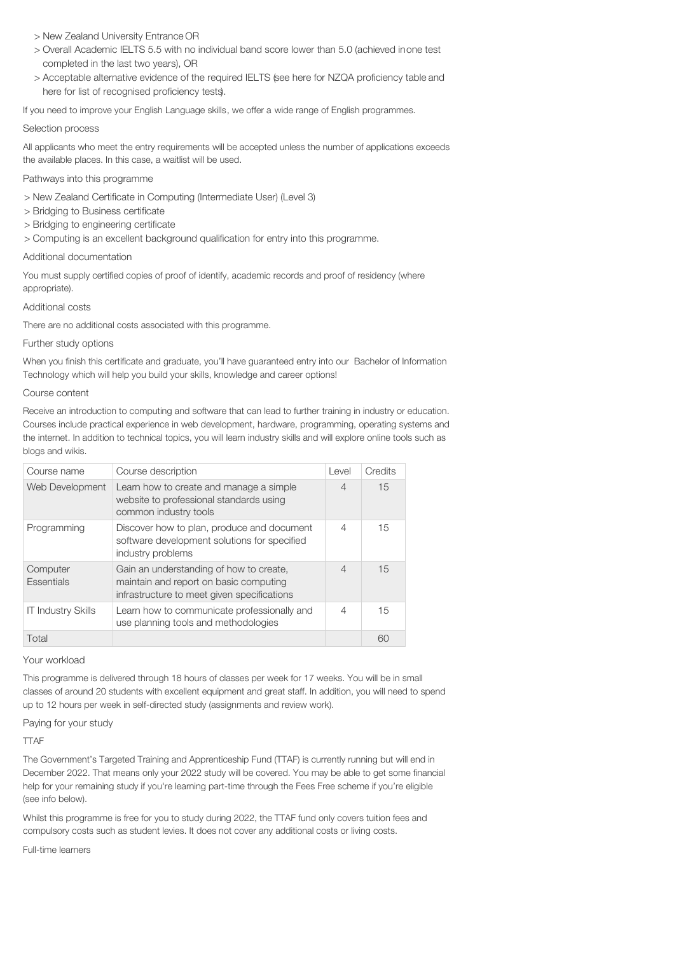- > New Zealand University Entrance OR
- > Overall Academic IELTS 5.5 with no individual band score lower than 5.0 (achieved inone test completed in the last two years), OR
- > Acceptable alternative evidence of the required IELTS (see here for NZQA proficiency table and here for list of recognised proficiency tests).

If you need to improve your English Language skills, we offer a wide range of English programmes.

#### Selection process

All applicants who meet the entry requirements will be accepted unless the number of applications exceeds the available places. In this case, a waitlist will be used.

#### Pathways into this programme

- > New Zealand Certificate in Computing (Intermediate User) (Level 3)
- > Bridging to Business certificate
- > Bridging to engineering certificate
- > Computing is an excellent background qualification for entry into this programme.

#### Additional documentation

You must supply certified copies of proof of identify, academic records and proof of residency (where appropriate).

#### Additional costs

There are no additional costs associated with this programme.

#### Further study options

When you finish this certificate and graduate, you'll have guaranteed entry into our Bachelor of Information Technology which will help you build your skills, knowledge and career options!

### Course content

Receive an introduction to computing and software that can lead to further training in industry or education. Courses include practical experience in web development, hardware, programming, operating systems and the internet. In addition to technical topics, you will learn industry skills and will explore online tools such as blogs and wikis.

| Course name                   | Course description                                                                                                               | Level                    | Credits |
|-------------------------------|----------------------------------------------------------------------------------------------------------------------------------|--------------------------|---------|
| Web Development               | Learn how to create and manage a simple<br>website to professional standards using<br>common industry tools                      | $\overline{4}$           | 15      |
| Programming                   | Discover how to plan, produce and document<br>software development solutions for specified<br>industry problems                  | 4                        | 15      |
| Computer<br><b>Essentials</b> | Gain an understanding of how to create,<br>maintain and report on basic computing<br>infrastructure to meet given specifications | $\overline{\mathcal{A}}$ | 15      |
| <b>IT Industry Skills</b>     | Learn how to communicate professionally and<br>use planning tools and methodologies                                              | 4                        | 15      |
| Total                         |                                                                                                                                  |                          | 60      |

Your workload

This programme is delivered through 18 hours of classes per week for 17 weeks. You will be in small classes of around 20 students with excellent equipment and great staff. In addition, you will need to spend up to 12 hours per week in self-directed study (assignments and review work).

#### Paying for your study

**TTAF** 

The Government's Targeted Training and Apprenticeship Fund (TTAF) is currently running but will end in December 2022. That means only your 2022 study will be covered. You may be able to get some financial help for your remaining study if you're learning part-time through the Fees Free scheme if you're eligible (see info below).

Whilst this programme is free for you to study during 2022, the TTAF fund only covers tuition fees and compulsory costs such as student levies. It does not cover any additional costs or living costs.

Full-time learners